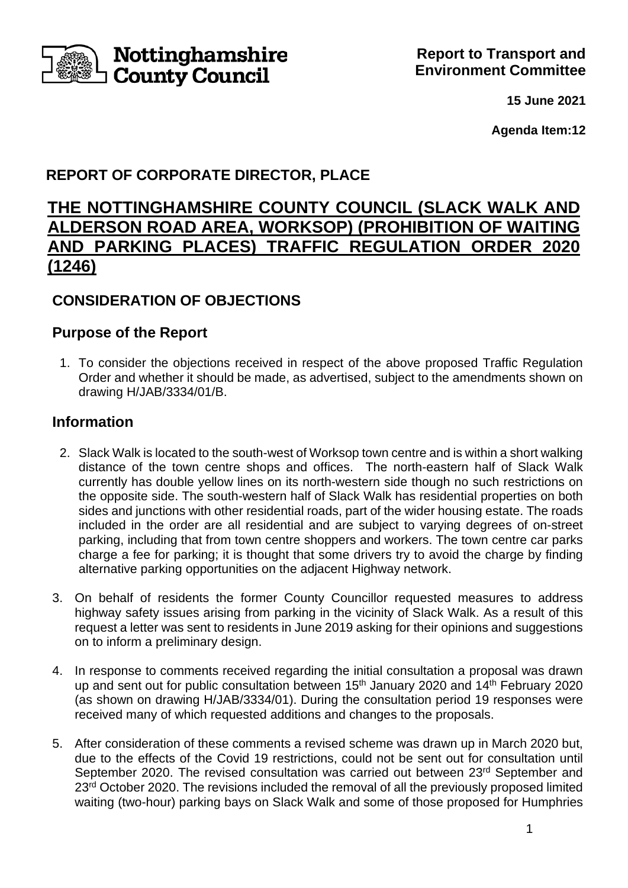

**15 June 2021**

**Agenda Item:12**

# **REPORT OF CORPORATE DIRECTOR, PLACE**

# **THE NOTTINGHAMSHIRE COUNTY COUNCIL (SLACK WALK AND ALDERSON ROAD AREA, WORKSOP) (PROHIBITION OF WAITING AND PARKING PLACES) TRAFFIC REGULATION ORDER 2020 (1246)**

## **CONSIDERATION OF OBJECTIONS**

### **Purpose of the Report**

1. To consider the objections received in respect of the above proposed Traffic Regulation Order and whether it should be made, as advertised, subject to the amendments shown on drawing H/JAB/3334/01/B.

### **Information**

- 2. Slack Walk is located to the south-west of Worksop town centre and is within a short walking distance of the town centre shops and offices. The north-eastern half of Slack Walk currently has double yellow lines on its north-western side though no such restrictions on the opposite side. The south-western half of Slack Walk has residential properties on both sides and junctions with other residential roads, part of the wider housing estate. The roads included in the order are all residential and are subject to varying degrees of on-street parking, including that from town centre shoppers and workers. The town centre car parks charge a fee for parking; it is thought that some drivers try to avoid the charge by finding alternative parking opportunities on the adjacent Highway network.
- 3. On behalf of residents the former County Councillor requested measures to address highway safety issues arising from parking in the vicinity of Slack Walk. As a result of this request a letter was sent to residents in June 2019 asking for their opinions and suggestions on to inform a preliminary design.
- 4. In response to comments received regarding the initial consultation a proposal was drawn up and sent out for public consultation between 15<sup>th</sup> January 2020 and 14<sup>th</sup> February 2020 (as shown on drawing H/JAB/3334/01). During the consultation period 19 responses were received many of which requested additions and changes to the proposals.
- 5. After consideration of these comments a revised scheme was drawn up in March 2020 but, due to the effects of the Covid 19 restrictions, could not be sent out for consultation until September 2020. The revised consultation was carried out between 23<sup>rd</sup> September and 23<sup>rd</sup> October 2020. The revisions included the removal of all the previously proposed limited waiting (two-hour) parking bays on Slack Walk and some of those proposed for Humphries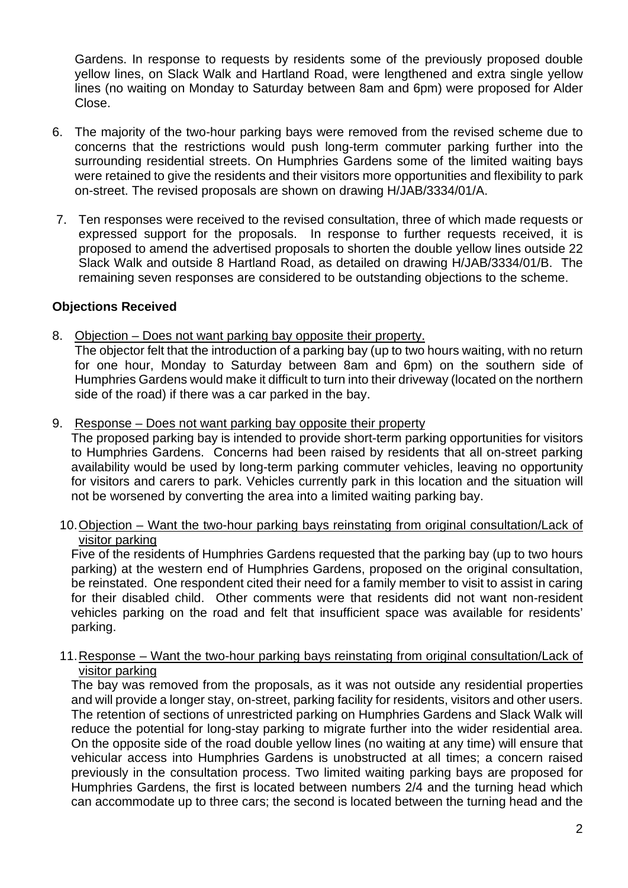Gardens. In response to requests by residents some of the previously proposed double yellow lines, on Slack Walk and Hartland Road, were lengthened and extra single yellow lines (no waiting on Monday to Saturday between 8am and 6pm) were proposed for Alder Close.

- 6. The majority of the two-hour parking bays were removed from the revised scheme due to concerns that the restrictions would push long-term commuter parking further into the surrounding residential streets. On Humphries Gardens some of the limited waiting bays were retained to give the residents and their visitors more opportunities and flexibility to park on-street. The revised proposals are shown on drawing H/JAB/3334/01/A.
- 7. Ten responses were received to the revised consultation, three of which made requests or expressed support for the proposals. In response to further requests received, it is proposed to amend the advertised proposals to shorten the double yellow lines outside 22 Slack Walk and outside 8 Hartland Road, as detailed on drawing H/JAB/3334/01/B. The remaining seven responses are considered to be outstanding objections to the scheme.

#### **Objections Received**

- 8. Objection Does not want parking bay opposite their property. The objector felt that the introduction of a parking bay (up to two hours waiting, with no return for one hour, Monday to Saturday between 8am and 6pm) on the southern side of Humphries Gardens would make it difficult to turn into their driveway (located on the northern side of the road) if there was a car parked in the bay.
- 9. Response Does not want parking bay opposite their property

The proposed parking bay is intended to provide short-term parking opportunities for visitors to Humphries Gardens. Concerns had been raised by residents that all on-street parking availability would be used by long-term parking commuter vehicles, leaving no opportunity for visitors and carers to park. Vehicles currently park in this location and the situation will not be worsened by converting the area into a limited waiting parking bay.

10.Objection – Want the two-hour parking bays reinstating from original consultation/Lack of visitor parking

Five of the residents of Humphries Gardens requested that the parking bay (up to two hours parking) at the western end of Humphries Gardens, proposed on the original consultation, be reinstated. One respondent cited their need for a family member to visit to assist in caring for their disabled child. Other comments were that residents did not want non-resident vehicles parking on the road and felt that insufficient space was available for residents' parking.

11.Response – Want the two-hour parking bays reinstating from original consultation/Lack of visitor parking

The bay was removed from the proposals, as it was not outside any residential properties and will provide a longer stay, on-street, parking facility for residents, visitors and other users. The retention of sections of unrestricted parking on Humphries Gardens and Slack Walk will reduce the potential for long-stay parking to migrate further into the wider residential area. On the opposite side of the road double yellow lines (no waiting at any time) will ensure that vehicular access into Humphries Gardens is unobstructed at all times; a concern raised previously in the consultation process. Two limited waiting parking bays are proposed for Humphries Gardens, the first is located between numbers 2/4 and the turning head which can accommodate up to three cars; the second is located between the turning head and the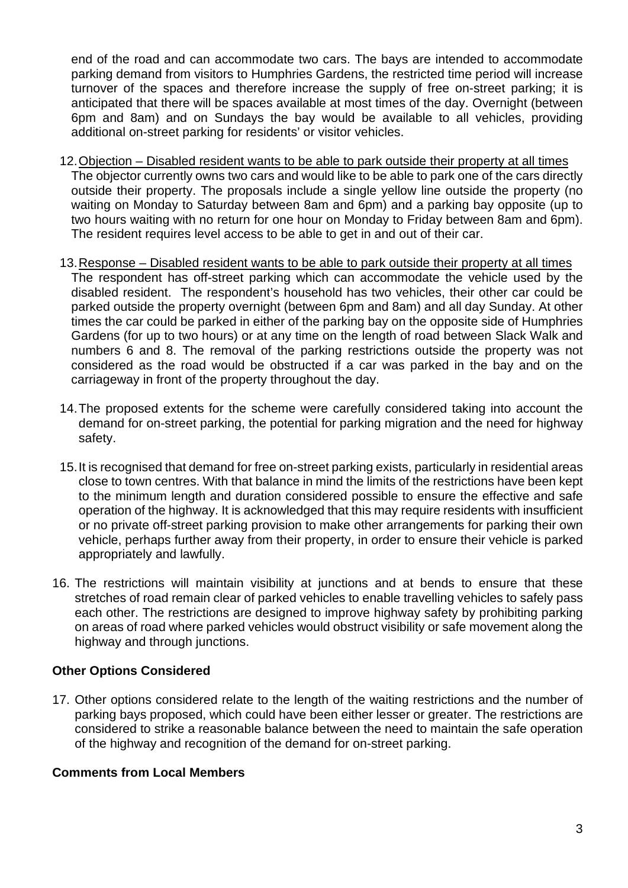end of the road and can accommodate two cars. The bays are intended to accommodate parking demand from visitors to Humphries Gardens, the restricted time period will increase turnover of the spaces and therefore increase the supply of free on-street parking; it is anticipated that there will be spaces available at most times of the day. Overnight (between 6pm and 8am) and on Sundays the bay would be available to all vehicles, providing additional on-street parking for residents' or visitor vehicles.

- 12.Objection Disabled resident wants to be able to park outside their property at all times The objector currently owns two cars and would like to be able to park one of the cars directly outside their property. The proposals include a single yellow line outside the property (no waiting on Monday to Saturday between 8am and 6pm) and a parking bay opposite (up to two hours waiting with no return for one hour on Monday to Friday between 8am and 6pm). The resident requires level access to be able to get in and out of their car.
- 13.Response Disabled resident wants to be able to park outside their property at all times The respondent has off-street parking which can accommodate the vehicle used by the disabled resident. The respondent's household has two vehicles, their other car could be parked outside the property overnight (between 6pm and 8am) and all day Sunday. At other times the car could be parked in either of the parking bay on the opposite side of Humphries Gardens (for up to two hours) or at any time on the length of road between Slack Walk and numbers 6 and 8. The removal of the parking restrictions outside the property was not considered as the road would be obstructed if a car was parked in the bay and on the carriageway in front of the property throughout the day.
- 14.The proposed extents for the scheme were carefully considered taking into account the demand for on-street parking, the potential for parking migration and the need for highway safety.
- 15.It is recognised that demand for free on-street parking exists, particularly in residential areas close to town centres. With that balance in mind the limits of the restrictions have been kept to the minimum length and duration considered possible to ensure the effective and safe operation of the highway. It is acknowledged that this may require residents with insufficient or no private off-street parking provision to make other arrangements for parking their own vehicle, perhaps further away from their property, in order to ensure their vehicle is parked appropriately and lawfully.
- 16. The restrictions will maintain visibility at junctions and at bends to ensure that these stretches of road remain clear of parked vehicles to enable travelling vehicles to safely pass each other. The restrictions are designed to improve highway safety by prohibiting parking on areas of road where parked vehicles would obstruct visibility or safe movement along the highway and through junctions.

#### **Other Options Considered**

17. Other options considered relate to the length of the waiting restrictions and the number of parking bays proposed, which could have been either lesser or greater. The restrictions are considered to strike a reasonable balance between the need to maintain the safe operation of the highway and recognition of the demand for on-street parking.

#### **Comments from Local Members**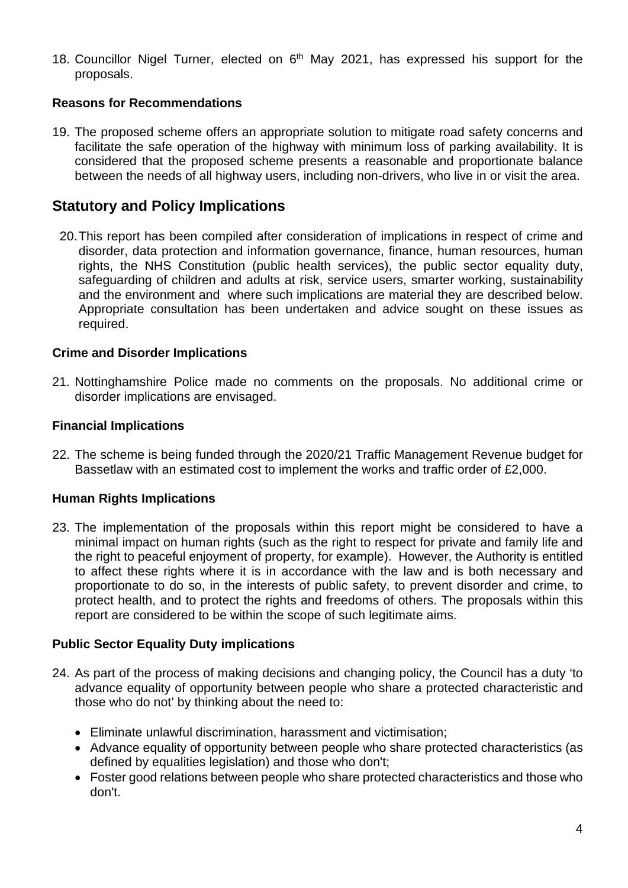18. Councillor Nigel Turner, elected on 6<sup>th</sup> May 2021, has expressed his support for the proposals.

#### **Reasons for Recommendations**

19. The proposed scheme offers an appropriate solution to mitigate road safety concerns and facilitate the safe operation of the highway with minimum loss of parking availability. It is considered that the proposed scheme presents a reasonable and proportionate balance between the needs of all highway users, including non-drivers, who live in or visit the area.

### **Statutory and Policy Implications**

20.This report has been compiled after consideration of implications in respect of crime and disorder, data protection and information governance, finance, human resources, human rights, the NHS Constitution (public health services), the public sector equality duty, safeguarding of children and adults at risk, service users, smarter working, sustainability and the environment and where such implications are material they are described below. Appropriate consultation has been undertaken and advice sought on these issues as required.

#### **Crime and Disorder Implications**

21. Nottinghamshire Police made no comments on the proposals. No additional crime or disorder implications are envisaged.

#### **Financial Implications**

22. The scheme is being funded through the 2020/21 Traffic Management Revenue budget for Bassetlaw with an estimated cost to implement the works and traffic order of £2,000.

#### **Human Rights Implications**

23. The implementation of the proposals within this report might be considered to have a minimal impact on human rights (such as the right to respect for private and family life and the right to peaceful enjoyment of property, for example). However, the Authority is entitled to affect these rights where it is in accordance with the law and is both necessary and proportionate to do so, in the interests of public safety, to prevent disorder and crime, to protect health, and to protect the rights and freedoms of others. The proposals within this report are considered to be within the scope of such legitimate aims.

#### **Public Sector Equality Duty implications**

- 24. As part of the process of making decisions and changing policy, the Council has a duty 'to advance equality of opportunity between people who share a protected characteristic and those who do not' by thinking about the need to:
	- Eliminate unlawful discrimination, harassment and victimisation;
	- Advance equality of opportunity between people who share protected characteristics (as defined by equalities legislation) and those who don't;
	- Foster good relations between people who share protected characteristics and those who don't.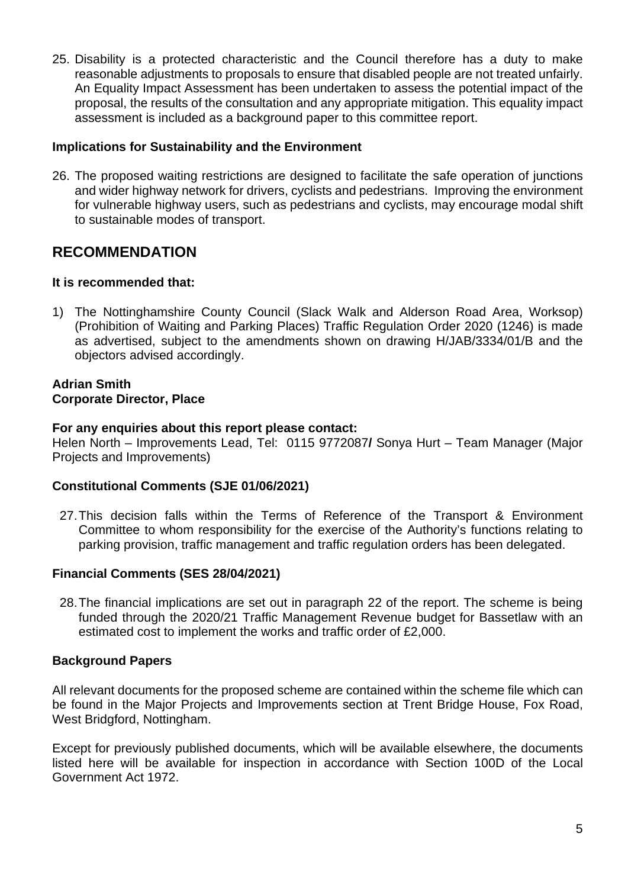25. Disability is a protected characteristic and the Council therefore has a duty to make reasonable adjustments to proposals to ensure that disabled people are not treated unfairly. An Equality Impact Assessment has been undertaken to assess the potential impact of the proposal, the results of the consultation and any appropriate mitigation. This equality impact assessment is included as a background paper to this committee report.

#### **Implications for Sustainability and the Environment**

26. The proposed waiting restrictions are designed to facilitate the safe operation of junctions and wider highway network for drivers, cyclists and pedestrians. Improving the environment for vulnerable highway users, such as pedestrians and cyclists, may encourage modal shift to sustainable modes of transport.

### **RECOMMENDATION**

#### **It is recommended that:**

1) The Nottinghamshire County Council (Slack Walk and Alderson Road Area, Worksop) (Prohibition of Waiting and Parking Places) Traffic Regulation Order 2020 (1246) is made as advertised, subject to the amendments shown on drawing H/JAB/3334/01/B and the objectors advised accordingly.

#### **Adrian Smith Corporate Director, Place**

#### **For any enquiries about this report please contact:**

Helen North – Improvements Lead, Tel: 0115 9772087**/** Sonya Hurt – Team Manager (Major Projects and Improvements)

#### **Constitutional Comments (SJE 01/06/2021)**

27.This decision falls within the Terms of Reference of the Transport & Environment Committee to whom responsibility for the exercise of the Authority's functions relating to parking provision, traffic management and traffic regulation orders has been delegated.

#### **Financial Comments (SES 28/04/2021)**

28.The financial implications are set out in paragraph 22 of the report. The scheme is being funded through the 2020/21 Traffic Management Revenue budget for Bassetlaw with an estimated cost to implement the works and traffic order of £2,000.

#### **Background Papers**

All relevant documents for the proposed scheme are contained within the scheme file which can be found in the Major Projects and Improvements section at Trent Bridge House, Fox Road, West Bridgford, Nottingham.

Except for previously published documents, which will be available elsewhere, the documents listed here will be available for inspection in accordance with Section 100D of the Local Government Act 1972.